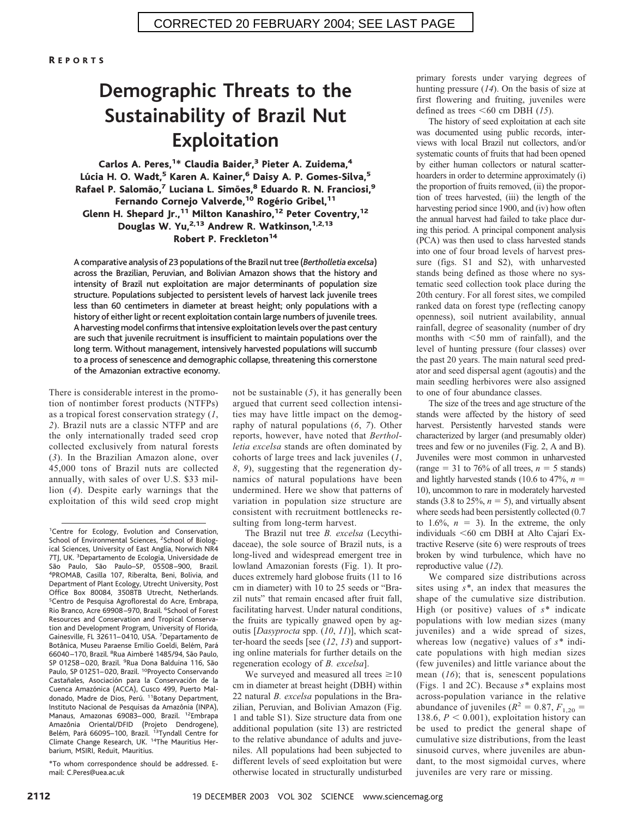R EPORTS

# **Demographic Threats to the Sustainability of Brazil Nut Exploitation**

#### Carlos A. Peres,<sup>1\*</sup> Claudia Baider,<sup>3</sup> Pieter A. Zuidema,<sup>4</sup> Lúcia H. O. Wadt,<sup>5</sup> Karen A. Kainer,<sup>6</sup> Daisy A. P. Gomes-Silva,<sup>5</sup> Rafael P. Salomão,<sup>7</sup> Luciana L. Simões,<sup>8</sup> Eduardo R. N. Franciosi,<sup>9</sup> Fernando Cornejo Valverde,<sup>10</sup> Rogério Gribel,<sup>11</sup> Glenn H. Shepard Jr.,<sup>11</sup> Milton Kanashiro,<sup>12</sup> Peter Coventry,<sup>12</sup> Douglas W. Yu,<sup>2,13</sup> Andrew R. Watkinson,<sup>1,2,13</sup> Robert P. Freckleton<sup>14</sup>

A comparative analysis of 23 populations of the Brazil nut tree (*Bertholletia excelsa*) across the Brazilian, Peruvian, and Bolivian Amazon shows that the history and intensity of Brazil nut exploitation are major determinants of population size structure. Populations subjected to persistent levels of harvest lack juvenile trees less than 60 centimeters in diameter at breast height; only populations with a history of either light or recent exploitation contain large numbers of juvenile trees. A harvesting model confirms that intensive exploitation levels over the past century are such that juvenile recruitment is insufficient to maintain populations over the long term. Without management, intensively harvested populations will succumb to a process of senescence and demographic collapse, threatening this cornerstone of the Amazonian extractive economy.

There is considerable interest in the promotion of nontimber forest products (NTFPs) as a tropical forest conservation strategy (*1*, *2*). Brazil nuts are a classic NTFP and are the only internationally traded seed crop collected exclusively from natural forests (*3*). In the Brazilian Amazon alone, over 45,000 tons of Brazil nuts are collected annually, with sales of over U.S. \$33 million (*4*). Despite early warnings that the exploitation of this wild seed crop might

\*To whom correspondence should be addressed. Email: C.Peres@uea.ac.uk

not be sustainable (*5*), it has generally been argued that current seed collection intensities may have little impact on the demography of natural populations (*6*, *7*). Other reports, however, have noted that *Bertholletia excelsa* stands are often dominated by cohorts of large trees and lack juveniles (*1*, *8*, *9*), suggesting that the regeneration dynamics of natural populations have been undermined. Here we show that patterns of variation in population size structure are consistent with recruitment bottlenecks resulting from long-term harvest.

The Brazil nut tree *B. excelsa* (Lecythidaceae), the sole source of Brazil nuts, is a long-lived and widespread emergent tree in lowland Amazonian forests (Fig. 1). It produces extremely hard globose fruits (11 to 16 cm in diameter) with 10 to 25 seeds or "Brazil nuts" that remain encased after fruit fall, facilitating harvest. Under natural conditions, the fruits are typically gnawed open by agoutis [*Dasyprocta* spp. (*10*, *11*)], which scatter-hoard the seeds [see (*12*, *13*) and supporting online materials for further details on the regeneration ecology of *B. excelsa*].

We surveyed and measured all trees  $\geq 10$ cm in diameter at breast height (DBH) within 22 natural *B. excelsa* populations in the Brazilian, Peruvian, and Bolivian Amazon (Fig. 1 and table S1). Size structure data from one additional population (site 13) are restricted to the relative abundance of adults and juveniles. All populations had been subjected to different levels of seed exploitation but were otherwise located in structurally undisturbed primary forests under varying degrees of hunting pressure (*14*). On the basis of size at first flowering and fruiting, juveniles were defined as trees  $\leq 60$  cm DBH (15).

The history of seed exploitation at each site was documented using public records, interviews with local Brazil nut collectors, and/or systematic counts of fruits that had been opened by either human collectors or natural scatterhoarders in order to determine approximately (i) the proportion of fruits removed, (ii) the proportion of trees harvested, (iii) the length of the harvesting period since 1900, and (iv) how often the annual harvest had failed to take place during this period. A principal component analysis (PCA) was then used to class harvested stands into one of four broad levels of harvest pressure (figs. S1 and S2), with unharvested stands being defined as those where no systematic seed collection took place during the 20th century. For all forest sites, we compiled ranked data on forest type (reflecting canopy openness), soil nutrient availability, annual rainfall, degree of seasonality (number of dry months with  $<$ 50 mm of rainfall), and the level of hunting pressure (four classes) over the past 20 years. The main natural seed predator and seed dispersal agent (agoutis) and the main seedling herbivores were also assigned to one of four abundance classes.

The size of the trees and age structure of the stands were affected by the history of seed harvest. Persistently harvested stands were characterized by larger (and presumably older) trees and few or no juveniles (Fig. 2, A and B). Juveniles were most common in unharvested (range  $=$  31 to 76% of all trees,  $n = 5$  stands) and lightly harvested stands (10.6 to  $47\%$ ,  $n =$ 10), uncommon to rare in moderately harvested stands  $(3.8 \text{ to } 25\%, n = 5)$ , and virtually absent where seeds had been persistently collected (0.7 to  $1.6\%$ ,  $n = 3$ ). In the extreme, the only individuals  $<$  60 cm DBH at Alto Cajarí Extractive Reserve (site 6) were resprouts of trees broken by wind turbulence, which have no reproductive value (*12*).

We compared size distributions across sites using *s\**, an index that measures the shape of the cumulative size distribution. High (or positive) values of *s\** indicate populations with low median sizes (many juveniles) and a wide spread of sizes, whereas low (negative) values of *s\** indicate populations with high median sizes (few juveniles) and little variance about the mean (*16*); that is, senescent populations (Figs. 1 and 2C). Because *s\** explains most across-population variance in the relative abundance of juveniles ( $R^2 = 0.87, F_{1,20} =$ 138.6,  $P < 0.001$ ), exploitation history can be used to predict the general shape of cumulative size distributions, from the least sinusoid curves, where juveniles are abundant, to the most sigmoidal curves, where juveniles are very rare or missing.

<sup>&</sup>lt;sup>1</sup>Centre for Ecology, Evolution and Conservation, School of Environmental Sciences, <sup>2</sup>School of Biological Sciences, University of East Anglia, Norwich NR4 7TJ, UK. <sup>3</sup>Departamento de Ecologia, Universidade de São Paulo, São Paulo-SP, 05508-900, Brazil. PROMAB, Casilla 107, Riberalta, Beni, Bolivia, and Department of Plant Ecology, Utrecht University, Post Office Box 80084, 3508TB Utrecht, Netherlands. 5 Centro de Pesquisa Agroflorestal do Acre, Embrapa, Rio Branco, Acre 69908-970, Brazil. <sup>6</sup>School of Forest Resources and Conservation and Tropical Conservation and Development Program, University of Florida, Gainesville, FL 32611-0410, USA. 7Departamento de Botânica, Museu Paraense Emílio Goeldi, Belém, Pará 66040-170, Brazil. <sup>8</sup>Rua Aimberé 1485/94, São Paulo, SP 01258-020, Brazil. <sup>9</sup>Rua Dona Balduina 116, São Paulo, SP 01251-020, Brazil. <sup>10</sup>Proyecto Conservando Castañales, Asociación para la Conservación de la Cuenca Amazónica (ACCA), Cusco 499, Puerto Maldonado, Madre de Dios, Perú. <sup>11</sup>Botany Department, Instituto Nacional de Pesquisas da Amazônia (INPA). Manaus, Amazonas 69083– 000, Brazil. 12Embrapa Amazônia Oriental/DFID (Projeto Dendrogene), Belém, Pará 66095–100, Brazil. <sup>13</sup>Tyndall Centre for Climate Change Research, UK. 14The Mauritius Herbarium, MSIRI, Reduit, Mauritius.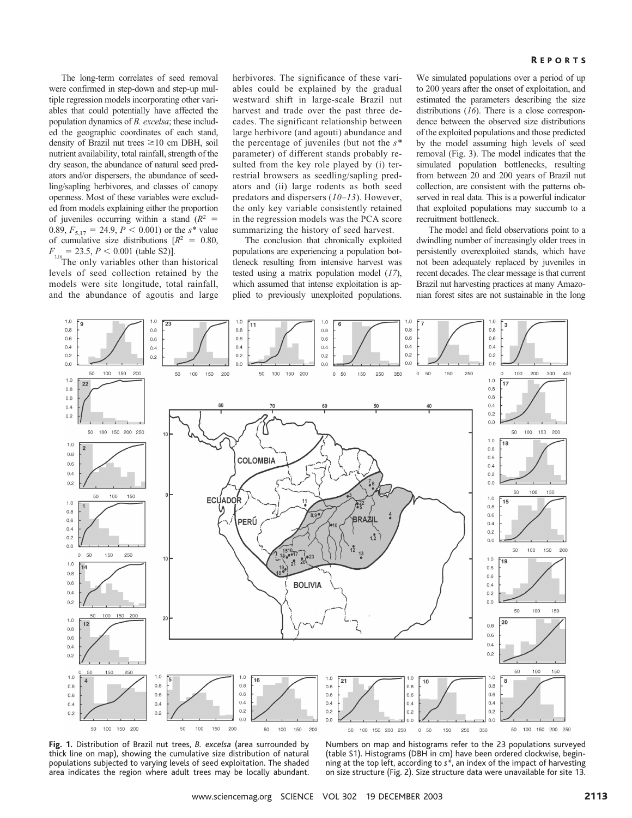#### **REPORTS**

The long-term correlates of seed removal were confirmed in step-down and step-up multiple regression models incorporating other variables that could potentially have affected the population dynamics of *B. excelsa*; these included the geographic coordinates of each stand, density of Brazil nut trees  $\geq 10$  cm DBH, soil nutrient availability, total rainfall, strength of the dry season, the abundance of natural seed predators and/or dispersers, the abundance of seedling/sapling herbivores, and classes of canopy openness. Most of these variables were excluded from models explaining either the proportion of juveniles occurring within a stand  $(R^2 =$ 0.89,  $F_{5,17} = 24.9, P \le 0.001$  or the *s*<sup>\*</sup> value of cumulative size distributions  $[R^2 = 0.80]$ ,  $F_{\frac{3,18}{2}} = 23.5, P \leq 0.001$  (table S2)].

The only variables other than historical levels of seed collection retained by the models were site longitude, total rainfall, and the abundance of agoutis and large herbivores. The significance of these variables could be explained by the gradual westward shift in large-scale Brazil nut harvest and trade over the past three decades. The significant relationship between large herbivore (and agouti) abundance and the percentage of juveniles (but not the *s\** parameter) of different stands probably resulted from the key role played by (i) terrestrial browsers as seedling/sapling predators and (ii) large rodents as both seed predators and dispersers (*10*–*13*). However, the only key variable consistently retained in the regression models was the PCA score summarizing the history of seed harvest.

The conclusion that chronically exploited populations are experiencing a population bottleneck resulting from intensive harvest was tested using a matrix population model (*17*), which assumed that intense exploitation is applied to previously unexploited populations. We simulated populations over a period of up to 200 years after the onset of exploitation, and estimated the parameters describing the size distributions (*16*). There is a close correspondence between the observed size distributions of the exploited populations and those predicted by the model assuming high levels of seed removal (Fig. 3). The model indicates that the simulated population bottlenecks, resulting from between 20 and 200 years of Brazil nut collection, are consistent with the patterns observed in real data. This is a powerful indicator that exploited populations may succumb to a recruitment bottleneck.

The model and field observations point to a dwindling number of increasingly older trees in persistently overexploited stands, which have not been adequately replaced by juveniles in recent decades. The clear message is that current Brazil nut harvesting practices at many Amazonian forest sites are not sustainable in the long



**Fig. 1.** Distribution of Brazil nut trees, *B. excelsa* (area surrounded by thick line on map), showing the cumulative size distribution of natural populations subjected to varying levels of seed exploitation. The shaded area indicates the region where adult trees may be locally abundant.

Numbers on map and histograms refer to the 23 populations surveyed (table S1). Histograms (DBH in cm) have been ordered clockwise, beginning at the top left, according to *s\**, an index of the impact of harvesting on size structure (Fig. 2). Size structure data were unavailable for site 13.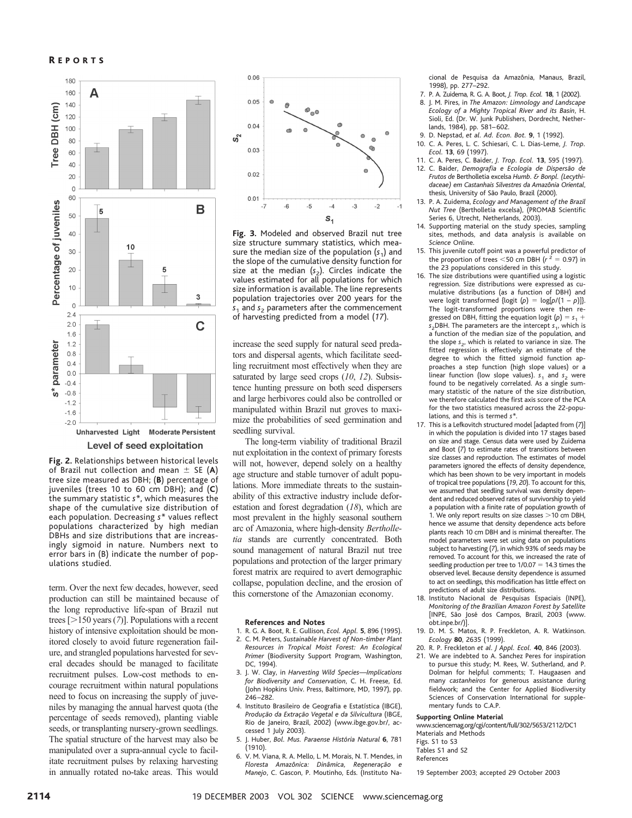

**Fig. 2.** Relationships between historical levels of Brazil nut collection and mean  $\pm$  SE (A) tree size measured as DBH; (**B**) percentage of juveniles (trees 10 to 60 cm DBH); and (**C**) the summary statistic *s\**, which measures the shape of the cumulative size distribution of each population. Decreasing *s\** values reflect populations characterized by high median DBHs and size distributions that are increasingly sigmoid in nature. Numbers next to error bars in (B) indicate the number of populations studied.

term. Over the next few decades, however, seed production can still be maintained because of the long reproductive life-span of Brazil nut trees  $[>150$  years (7)]. Populations with a recent history of intensive exploitation should be monitored closely to avoid future regeneration failure, and strangled populations harvested for several decades should be managed to facilitate recruitment pulses. Low-cost methods to encourage recruitment within natural populations need to focus on increasing the supply of juveniles by managing the annual harvest quota (the percentage of seeds removed), planting viable seeds, or transplanting nursery-grown seedlings. The spatial structure of the harvest may also be manipulated over a supra-annual cycle to facilitate recruitment pulses by relaxing harvesting in annually rotated no-take areas. This would



**Fig. 3.** Modeled and observed Brazil nut tree size structure summary statistics, which measure the median size of the population  $(s_1)$  and the slope of the cumulative density function for size at the median  $(s_2)$ . Circles indicate the values estimated for all populations for which size information is available. The line represents population trajectories over 200 years for the  $s<sub>1</sub>$  and  $s<sub>2</sub>$  parameters after the commencement of harvesting predicted from a model (*17*).

increase the seed supply for natural seed predators and dispersal agents, which facilitate seedling recruitment most effectively when they are saturated by large seed crops (*10*, *12*). Subsistence hunting pressure on both seed dispersers and large herbivores could also be controlled or manipulated within Brazil nut groves to maximize the probabilities of seed germination and seedling survival.

The long-term viability of traditional Brazil nut exploitation in the context of primary forests will not, however, depend solely on a healthy age structure and stable turnover of adult populations. More immediate threats to the sustainability of this extractive industry include deforestation and forest degradation (*18*), which are most prevalent in the highly seasonal southern arc of Amazonia, where high-density *Bertholletia* stands are currently concentrated. Both sound management of natural Brazil nut tree populations and protection of the larger primary forest matrix are required to avert demographic collapse, population decline, and the erosion of this cornerstone of the Amazonian economy.

#### **References and Notes**

- 1. R. G. A. Boot, R. E. Gullison, *Ecol. Appl.* **5**, 896 (1995).
- 2. C. M. Peters, *Sustainable Harvest of Non-timber Plant Resources in Tropical Moist Forest:An Ecological Primer* (Biodiversity Support Program, Washington, DC, 1994).
- 3. J. W. Clay, in *Harvesting Wild Species—Implications for Biodiversity and Conservation*, C. H. Freese, Ed. (John Hopkins Univ. Press, Baltimore, MD, 1997), pp. 246 –282.
- 4. Instituto Brasileiro de Geografia e Estatística (IBGE), *Produc¸a˜o da Extrac¸a˜o Vegetal e da Silvicultura* (IBGE, Rio de Janeiro, Brazil, 2002) (www.ibge.gov.br/, accessed 1 July 2003).
- 5. J. Huber, *Bol. Mus. Paraense Histo´ria Natural* **6**, 781 (1910).
- 6. V. M. Viana, R. A. Mello, L. M. Morais, N. T. Mendes, in *Floresta Amazoˆnica:Dinaˆmica, Regenerac¸a˜o e Manejo*, C. Gascon, P. Moutinho, Eds. (Instituto Na-

cional de Pesquisa da Amazônia, Manaus, Brazil, 1998), pp. 277–292.

- 7. P. A. Zuidema, R. G. A. Boot, *J. Trop. Ecol.* **18**, 1 (2002).
- 8. J. M. Pires, in *The Amazon: Limnology and Landscape Ecology of a Mighty Tropical River and its Basin*, H. Sioli, Ed. (Dr. W. Junk Publishers, Dordrecht, Netherlands, 1984), pp. 581-602.
- 9. D. Nepstad, *et al. Ad. Econ. Bot.* **9**, 1 (1992).
- 10. C. A. Peres, L. C. Schiesari, C. L. Dias-Leme, *J. Trop. Ecol*. **13**, 69 (1997).
- 11. C. A. Peres, C. Baider, *J. Trop. Ecol.* **13**, 595 (1997). 12. C. Baider, *Demografia e Ecologia de Dispersão de Frutos de* Bertholletia excelsa *Humb. & Bonpl. (Lecythidaceae) em Castanhais Silvestres da Amazoˆnia Oriental*, thesis, University of São Paulo, Brazil (2000).
- 13. P. A. Zuidema, *Ecology and Management of the Brazil Nut Tree* (Bertholletia excelsa), (PROMAB Scientific Series 6, Utrecht, Netherlands, 2003).
- 14. Supporting material on the study species, sampling sites, methods, and data analysis is available on *Science* Online.
- 15. This juvenile cutoff point was a powerful predictor of the proportion of trees  $<$  50 cm DBH ( $r^2$  = 0.97) in the 23 populations considered in this study.
- 16. The size distributions were quantified using a logistic regression. Size distributions were expressed as cumulative distributions (as a function of DBH) and were logit transformed  $\{ \text{logit } (\rho) = \text{log}[p/(1 - p)] \}.$ The logit-transformed proportions were then regressed on DBH, fitting the equation logit  $(p) = s<sub>1</sub> +$ *s*<sup>2</sup>DBH. The parameters are the intercept *s*<sub>1</sub>, which is a function of the median size of the population, and the slope *s<sub>2</sub>*, which is related to variance in size. The fitted regression is effectively an estimate of the degree to which the fitted sigmoid function approaches a step function (high slope values) or a linear function (low slope values).  $s_1$  and  $s_2$  were found to be negatively correlated. As a single summary statistic of the nature of the size distribution, we therefore calculated the first axis score of the PCA for the two statistics measured across the 22-populations, and this is termed *s\**.
- 17. This is a Lefkovitch structured model [adapted from (*7*)] in which the population is divided into 17 stages based on size and stage. Census data were used by Zuidema and Boot (*7*) to estimate rates of transitions between size classes and reproduction. The estimates of model parameters ignored the effects of density dependence, which has been shown to be very important in models of tropical tree populations (*19*, *20*). To account for this, we assumed that seedling survival was density dependent and reduced observed rates of survivorship to yield a population with a finite rate of population growth of 1. We only report results on size classes  $>$  10 cm DBH, hence we assume that density dependence acts before plants reach 10 cm DBH and is minimal thereafter. The model parameters were set using data on populations subject to harvesting (*7*), in which 93% of seeds may be removed. To account for this, we increased the rate of seedling production per tree to  $1/0.07 = 14.3$  times the observed level. Because density dependence is assumed to act on seedlings, this modification has little effect on predictions of adult size distributions.
- 18. Instituto Nacional de Pesquisas Espaciais (INPE), *Monitoring of the Brazilian Amazon Forest by Satellite* [INPE, São José dos Campos, Brazil, 2003 (www. obt.inpe.br/)].
- 19. D. M. S. Matos, R. P. Freckleton, A. R. Watkinson. *Ecology* **80**, 2635 (1999).
- 20. R. P. Freckleton *et al*. *J Appl. Ecol.* **40**, 846 (2003).
- 21. We are indebted to A. Sanchez Peres for inspiration to pursue this study; M. Rees, W. Sutherland, and P. Dolman for helpful comments; T. Haugaasen and many *castanheiros* for generous assistance during fieldwork; and the Center for Applied Biodiversity Sciences of Conservation International for supplementary funds to C.A.P.

#### **Supporting Online Material**

www.sciencemag.org/cgi/content/full/302/5653/2112/DC1 Materials and Methods

Figs. S1 to S3

Tables S1 and S2

References

19 September 2003; accepted 29 October 2003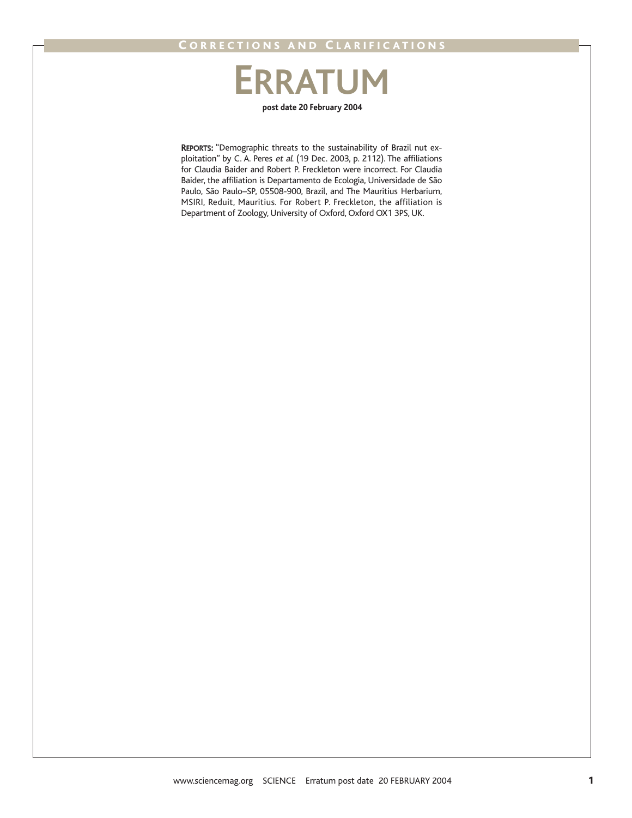# **post date 20 February 2004 ERRATUM**

REPORTS: "Demographic threats to the sustainability of Brazil nut exploitation" by C. A. Peres et al. (19 Dec. 2003, p. 2112). The affiliations for Claudia Baider and Robert P. Freckleton were incorrect. For Claudia Baider, the affiliation is Departamento de Ecologia, Universidade de São Paulo, São Paulo–SP, 05508-900, Brazil, and The Mauritius Herbarium, MSIRI, Reduit, Mauritius. For Robert P. Freckleton, the affiliation is Department of Zoology, University of Oxford, Oxford OX1 3PS, UK.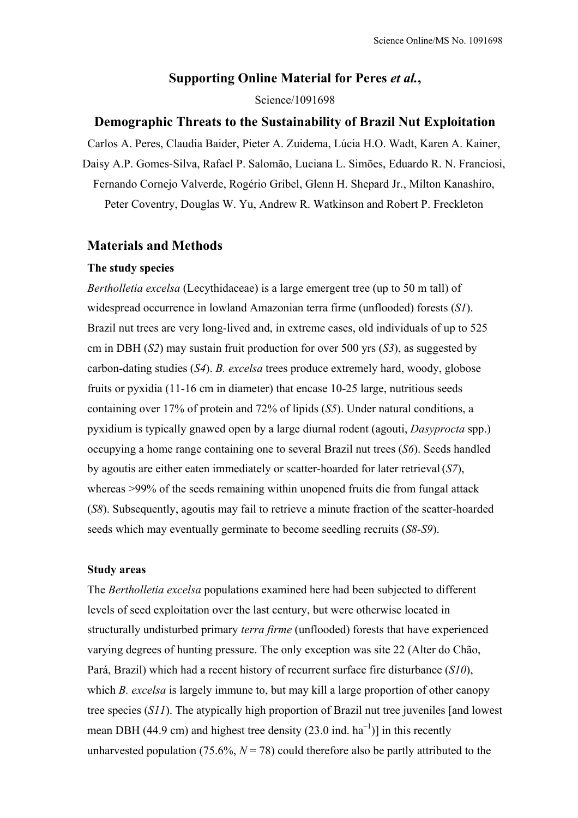# **Supporting Online Material for Peres** *et al.***,**

### Science/1091698

# **Demographic Threats to the Sustainability of Brazil Nut Exploitation**

Carlos A. Peres, Claudia Baider, Pieter A. Zuidema, Lúcia H.O. Wadt, Karen A. Kainer, Daisy A.P. Gomes-Silva, Rafael P. Salomão, Luciana L. Simões, Eduardo R. N. Franciosi, Fernando Cornejo Valverde, Rogério Gribel, Glenn H. Shepard Jr., Milton Kanashiro, Peter Coventry, Douglas W. Yu, Andrew R. Watkinson and Robert P. Freckleton

# **Materials and Methods**

### **The study species**

*Bertholletia excelsa* (Lecythidaceae) is a large emergent tree (up to 50 m tall) of widespread occurrence in lowland Amazonian terra firme (unflooded) forests (*S1*). Brazil nut trees are very long-lived and, in extreme cases, old individuals of up to 525 cm in DBH (*S2*) may sustain fruit production for over 500 yrs (*S3*), as suggested by carbon-dating studies (*S4*). *B. excelsa* trees produce extremely hard, woody, globose fruits or pyxidia (11-16 cm in diameter) that encase 10-25 large, nutritious seeds containing over 17% of protein and 72% of lipids (*S5*). Under natural conditions, a pyxidium is typically gnawed open by a large diurnal rodent (agouti, *Dasyprocta* spp.) occupying a home range containing one to several Brazil nut trees (*S6*). Seeds handled by agoutis are either eaten immediately or scatter-hoarded for later retrieval(*S7*), whereas >99% of the seeds remaining within unopened fruits die from fungal attack (*S8*). Subsequently, agoutis may fail to retrieve a minute fraction of the scatter-hoarded seeds which may eventually germinate to become seedling recruits (*S8-S9*).

### **Study areas**

The *Bertholletia excelsa* populations examined here had been subjected to different levels of seed exploitation over the last century, but were otherwise located in structurally undisturbed primary *terra firme* (unflooded) forests that have experienced varying degrees of hunting pressure. The only exception was site 22 (Alter do Chão, Pará, Brazil) which had a recent history of recurrent surface fire disturbance (*S10*), which *B. excelsa* is largely immune to, but may kill a large proportion of other canopy tree species (*S11*). The atypically high proportion of Brazil nut tree juveniles [and lowest mean DBH (44.9 cm) and highest tree density (23.0 ind.  $ha^{-1}$ ) in this recently unharvested population (75.6%,  $N = 78$ ) could therefore also be partly attributed to the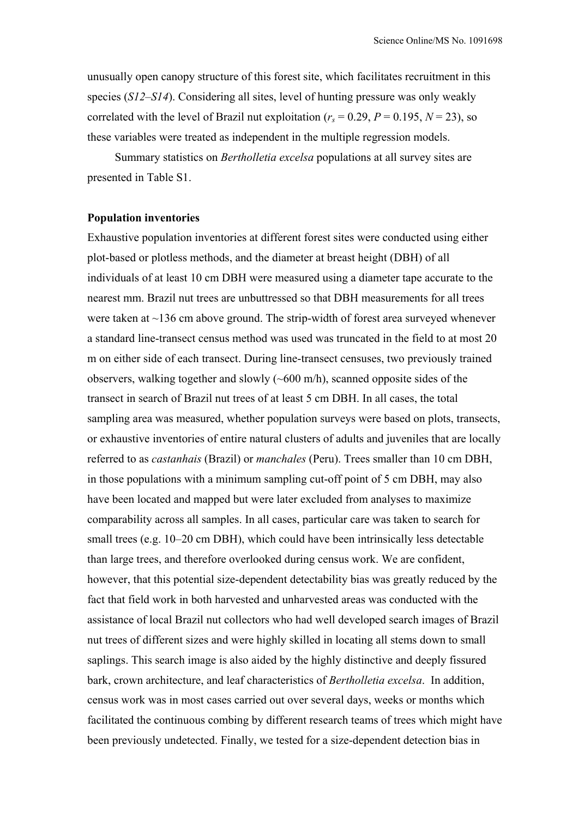unusually open canopy structure of this forest site, which facilitates recruitment in this species (*S12*–*S14*). Considering all sites, level of hunting pressure was only weakly correlated with the level of Brazil nut exploitation ( $r_s = 0.29$ ,  $P = 0.195$ ,  $N = 23$ ), so these variables were treated as independent in the multiple regression models.

Summary statistics on *Bertholletia excelsa* populations at all survey sites are presented in Table S1.

## **Population inventories**

Exhaustive population inventories at different forest sites were conducted using either plot-based or plotless methods, and the diameter at breast height (DBH) of all individuals of at least 10 cm DBH were measured using a diameter tape accurate to the nearest mm. Brazil nut trees are unbuttressed so that DBH measurements for all trees were taken at  $\sim$ 136 cm above ground. The strip-width of forest area surveyed whenever a standard line-transect census method was used was truncated in the field to at most 20 m on either side of each transect. During line-transect censuses, two previously trained observers, walking together and slowly (~600 m/h), scanned opposite sides of the transect in search of Brazil nut trees of at least 5 cm DBH. In all cases, the total sampling area was measured, whether population surveys were based on plots, transects, or exhaustive inventories of entire natural clusters of adults and juveniles that are locally referred to as *castanhais* (Brazil) or *manchales* (Peru). Trees smaller than 10 cm DBH, in those populations with a minimum sampling cut-off point of 5 cm DBH, may also have been located and mapped but were later excluded from analyses to maximize comparability across all samples. In all cases, particular care was taken to search for small trees (e.g. 10–20 cm DBH), which could have been intrinsically less detectable than large trees, and therefore overlooked during census work. We are confident, however, that this potential size-dependent detectability bias was greatly reduced by the fact that field work in both harvested and unharvested areas was conducted with the assistance of local Brazil nut collectors who had well developed search images of Brazil nut trees of different sizes and were highly skilled in locating all stems down to small saplings. This search image is also aided by the highly distinctive and deeply fissured bark, crown architecture, and leaf characteristics of *Bertholletia excelsa*. In addition, census work was in most cases carried out over several days, weeks or months which facilitated the continuous combing by different research teams of trees which might have been previously undetected. Finally, we tested for a size-dependent detection bias in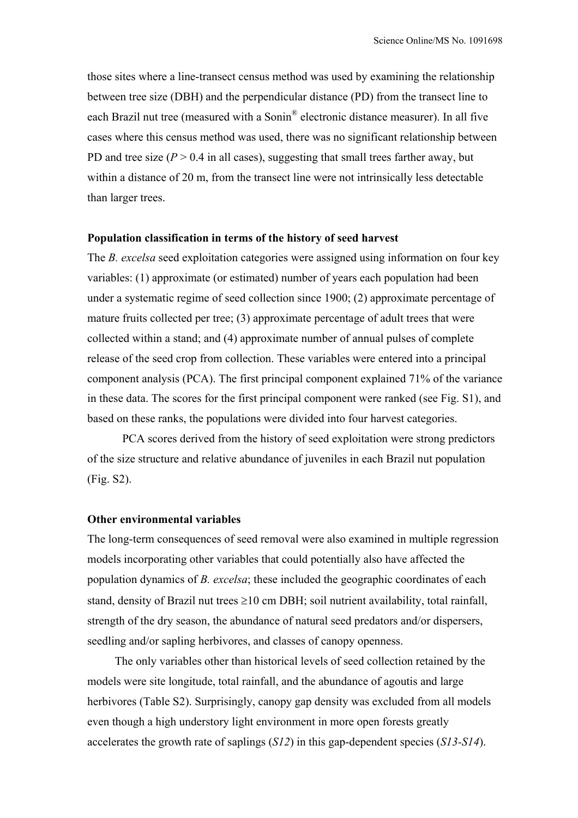those sites where a line-transect census method was used by examining the relationship between tree size (DBH) and the perpendicular distance (PD) from the transect line to each Brazil nut tree (measured with a Sonin® electronic distance measurer). In all five cases where this census method was used, there was no significant relationship between PD and tree size  $(P > 0.4$  in all cases), suggesting that small trees farther away, but within a distance of 20 m, from the transect line were not intrinsically less detectable than larger trees.

### **Population classification in terms of the history of seed harvest**

The *B. excelsa* seed exploitation categories were assigned using information on four key variables: (1) approximate (or estimated) number of years each population had been under a systematic regime of seed collection since 1900; (2) approximate percentage of mature fruits collected per tree; (3) approximate percentage of adult trees that were collected within a stand; and (4) approximate number of annual pulses of complete release of the seed crop from collection. These variables were entered into a principal component analysis (PCA). The first principal component explained 71% of the variance in these data. The scores for the first principal component were ranked (see Fig. S1), and based on these ranks, the populations were divided into four harvest categories.

 PCA scores derived from the history of seed exploitation were strong predictors of the size structure and relative abundance of juveniles in each Brazil nut population (Fig. S2).

# **Other environmental variables**

The long-term consequences of seed removal were also examined in multiple regression models incorporating other variables that could potentially also have affected the population dynamics of *B. excelsa*; these included the geographic coordinates of each stand, density of Brazil nut trees  $\geq 10$  cm DBH; soil nutrient availability, total rainfall, strength of the dry season, the abundance of natural seed predators and/or dispersers, seedling and/or sapling herbivores, and classes of canopy openness.

The only variables other than historical levels of seed collection retained by the models were site longitude, total rainfall, and the abundance of agoutis and large herbivores (Table S2). Surprisingly, canopy gap density was excluded from all models even though a high understory light environment in more open forests greatly accelerates the growth rate of saplings (*S12*) in this gap-dependent species (*S13-S14*).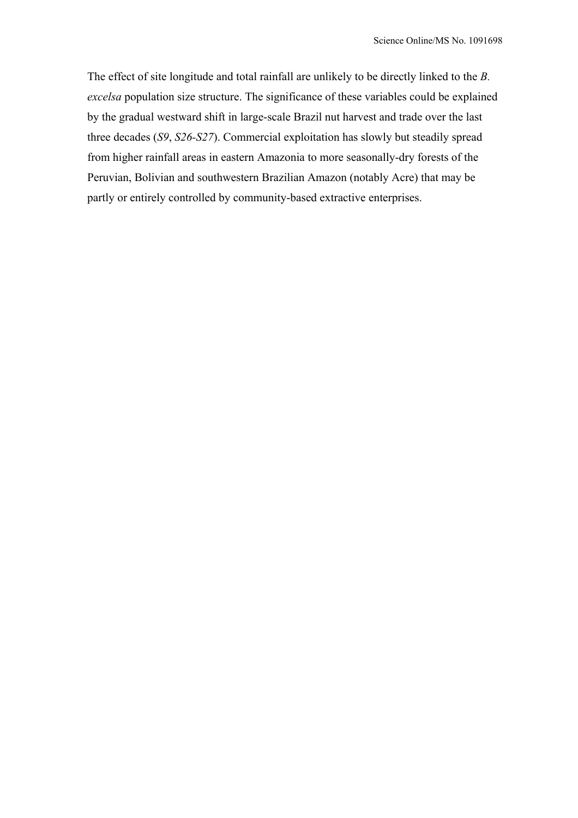The effect of site longitude and total rainfall are unlikely to be directly linked to the *B. excelsa* population size structure. The significance of these variables could be explained by the gradual westward shift in large-scale Brazil nut harvest and trade over the last three decades (*S9*, *S26-S27*). Commercial exploitation has slowly but steadily spread from higher rainfall areas in eastern Amazonia to more seasonally-dry forests of the Peruvian, Bolivian and southwestern Brazilian Amazon (notably Acre) that may be partly or entirely controlled by community-based extractive enterprises.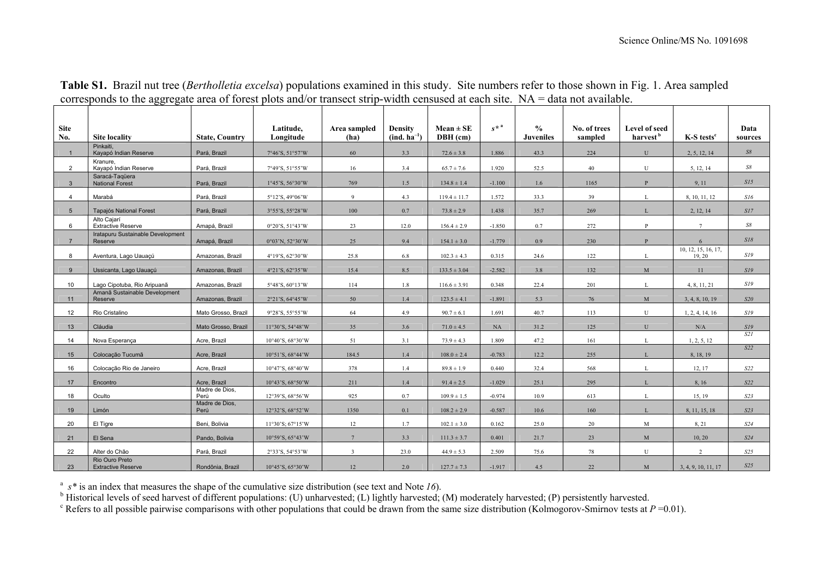| <b>Site</b><br>No. | <b>Site locality</b>                         | <b>State, Country</b>  | Latitude,<br>Longitude | Area sampled<br>(ha) | <b>Density</b><br>$(ind. ha^{-1})$ | $Mean \pm SE$<br>$DBH$ (cm) | $s^*$ <sup>a</sup> | $\frac{0}{0}$<br><b>Juveniles</b> | No. of trees<br>sampled | Level of seed<br>harvest <sup>b</sup> | $K-S$ tests <sup>c</sup>      | Data<br>sources |
|--------------------|----------------------------------------------|------------------------|------------------------|----------------------|------------------------------------|-----------------------------|--------------------|-----------------------------------|-------------------------|---------------------------------------|-------------------------------|-----------------|
| $\overline{1}$     | Pinkaiti.<br>Kayapó Indian Reserve           | Pará, Brazil           | 7°46'S, 51°57'W        | 60                   | 3.3                                | $72.6 \pm 3.8$              | 1.886              | 43.3                              | 224                     | U                                     | 2, 5, 12, 14                  | $S\mathcal{S}$  |
| 2                  | Kranure.<br>Kavapó Indian Reserve            | Pará, Brazil           | 7°49'S, 51°55'W        | 16                   | 3.4                                | $65.7 \pm 7.6$              | 1.920              | 52.5                              | 40                      | U                                     | 5, 12, 14                     | S8              |
| $\mathbf{3}$       | Saracá-Taqüera<br><b>National Forest</b>     | Pará, Brazil           | 1°45'S, 56°30'W        | 769                  | 1.5                                | $134.8 \pm 1.4$             | $-1.100$           | 1.6                               | 1165                    | P                                     | 9, 11                         | SI5             |
| $\overline{4}$     | Marabá                                       | Pará, Brazil           | 5°12'S, 49°06'W        | $\overline{9}$       | 4.3                                | $119.4 \pm 11.7$            | 1.572              | 33.3                              | 39                      | L                                     | 8, 10, 11, 12                 | S16             |
| $5\overline{5}$    | <b>Tapajós National Forest</b>               | Pará, Brazil           | 3°55'S, 55°28'W        | 100                  | 0.7                                | $73.8 \pm 2.9$              | 1.438              | 35.7                              | 269                     |                                       | 2, 12, 14                     | SI7             |
| 6                  | Alto Caiarí<br><b>Extractive Reserve</b>     | Amapá, Brazil          | 0°20'S, 51°43'W        | 23                   | 12.0                               | $156.4 \pm 2.9$             | $-1.850$           | 0.7                               | 272                     | P                                     | $\overline{7}$                | S8              |
| $\overline{7}$     | Iratapuru Sustainable Development<br>Reserve | Amapá, Brazil          | 0°03'N, 52°30'W        | 25                   | 9.4                                | $154.1 \pm 3.0$             | $-1.779$           | 0.9                               | 230                     | $\mathbf{P}$                          | 6                             | S18             |
| 8                  | Aventura, Lago Uauaçú                        | Amazonas, Brazil       | 4°19'S, 62°30'W        | 25.8                 | 6.8                                | $102.3 \pm 4.3$             | 0.315              | 24.6                              | 122                     |                                       | 10, 12, 15, 16, 17,<br>19, 20 | SI9             |
| 9                  | Ussicanta, Lago Uauaçú                       | Amazonas, Brazil       | 4°21'S, 62°35'W        | 15.4                 | 8.5                                | $133.5 \pm 3.04$            | $-2.582$           | 3.8                               | 132                     | M                                     | 11                            | SI9             |
| 10 <sup>1</sup>    | Lago Cipotuba, Rio Aripuanã                  | Amazonas, Brazil       | 5°48'S, 60°13'W        | 114                  | 1.8                                | $116.6 \pm 3.91$            | 0.348              | 22.4                              | 201                     |                                       | 4, 8, 11, 21                  | SI9             |
| 11                 | Amanã Sustainable Development<br>Reserve     | Amazonas, Brazil       | 2°21'S, 64°45'W        | 50                   | 1.4                                | $123.5 \pm 4.1$             | $-1.891$           | 5.3                               | 76                      | M                                     | 3, 4, 8, 10, 19               | S20             |
| 12                 | Rio Cristalino                               | Mato Grosso, Brazil    | 9°28'S, 55°55'W        | 64                   | 4.9                                | $90.7 \pm 6.1$              | 1.691              | 40.7                              | 113                     | U                                     | 1, 2, 4, 14, 16               | SI9             |
| 13                 | Cláudia                                      | Mato Grosso, Brazil    | 11°30'S, 54°48'W       | 35                   | 3.6                                | $71.0 \pm 4.5$              | NA                 | 31.2                              | 125                     | $\mathbf U$                           | N/A                           | SI9             |
| 14                 | Nova Esperança                               | Acre, Brazil           | 10°40'S, 68°30'W       | 51                   | 3.1                                | $73.9 \pm 4.3$              | 1.809              | 47.2                              | 161                     | L                                     | 1, 2, 5, 12                   | S2I             |
| 15                 | Colocação Tucumã                             | Acre, Brazil           | 10°51'S, 68°44'W       | 184.5                | 1.4                                | $108.0 \pm 2.4$             | $-0.783$           | 12.2                              | 255                     |                                       | 8, 18, 19                     | S22             |
| 16                 | Colocação Rio de Janeiro                     | Acre, Brazil           | 10°47'S, 68°40'W       | 378                  | 1.4                                | $89.8 \pm 1.9$              | 0.440              | 32.4                              | 568                     | L                                     | 12, 17                        | S22             |
| 17                 | Encontro                                     | Acre, Brazil           | 10°43'S, 68°50'W       | 211                  | 1.4                                | $91.4 \pm 2.5$              | $-1.029$           | 25.1                              | 295                     |                                       | 8, 16                         | S22             |
| 18                 | Oculto                                       | Madre de Dios.<br>Perú | 12°39'S, 68°56'W       | 925                  | 0.7                                | $109.9 \pm 1.5$             | $-0.974$           | 10.9                              | 613                     |                                       | 15, 19                        | S23             |
| 19                 | Limón                                        | Madre de Dios,<br>Perú | 12°32'S, 68°52'W       | 1350                 | 0.1                                | $108.2 \pm 2.9$             | $-0.587$           | 10.6                              | 160                     |                                       | 8, 11, 15, 18                 | S23             |
| 20                 | El Tigre                                     | Beni, Bolivia          | 11°30'S; 67°15'W       | 12                   | 1.7                                | $102.1 \pm 3.0$             | 0.162              | 25.0                              | 20                      | M                                     | 8, 21                         | S24             |
| 21                 | El Sena                                      | Pando, Bolivia         | 10°59'S, 65°43'W       | $7\overline{ }$      | 3.3                                | $111.3 \pm 3.7$             | 0.401              | 21.7                              | 23                      | M                                     | 10, 20                        | S <sub>24</sub> |
| 22                 | Alter do Chão                                | Pará, Brazil           | 2°33'S, 54°53'W        | $\overline{3}$       | 23.0                               | $44.9 \pm 5.3$              | 2.509              | 75.6                              | 78                      | U                                     | 2                             | S25             |
| 23                 | Rio Ouro Preto<br><b>Extractive Reserve</b>  | Rondônia, Brazil       | 10°45'S, 65°30'W       | 12                   | 2.0                                | $127.7 \pm 7.3$             | $-1.917$           | 4.5                               | 22                      | M                                     | 3, 4, 9, 10, 11, 17           | S25             |

**Table S1.** Brazil nut tree (*Bertholletia excelsa*) populations examined in this study. Site numbers refer to those shown in Fig. 1. Area sampled corresponds to the aggregate area of forest plots and/or transect strip-width censused at each site. NA = data not available.

a *<sup>s</sup>\** is an index that measures the shape of the cumulative size distribution (see text and Note *16*).

<sup>b</sup> Historical levels of seed harvest of different populations: (U) unharvested; (L) lightly harvested; (M) moderately harvested; (P) persistently harvested.

<sup>c</sup> Refers to all possible pairwise comparisons with other populations that could be drawn from the same size distribution (Kolmogorov-Smirnov tests at  $P = 0.01$ ).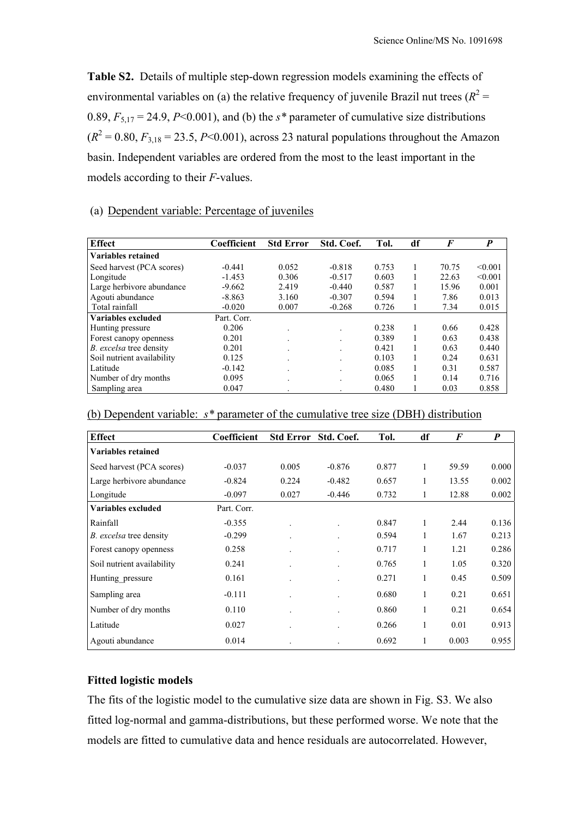**Table S2.** Details of multiple step-down regression models examining the effects of environmental variables on (a) the relative frequency of juvenile Brazil nut trees  $(R^2 =$ 0.89,  $F_{5,17} = 24.9$ ,  $P<0.001$ ), and (b) the  $s*$  parameter of cumulative size distributions  $(R<sup>2</sup> = 0.80, F<sub>3,18</sub> = 23.5, P<0.001)$ , across 23 natural populations throughout the Amazon basin. Independent variables are ordered from the most to the least important in the models according to their *F*-values.

# (a) Dependent variable: Percentage of juveniles

| <b>Effect</b>              | Coefficient | <b>Std Error</b> | Std. Coef. | Tol.  | df | F     | P       |
|----------------------------|-------------|------------------|------------|-------|----|-------|---------|
| <b>Variables retained</b>  |             |                  |            |       |    |       |         |
| Seed harvest (PCA scores)  | $-0.441$    | 0.052            | $-0.818$   | 0.753 |    | 70.75 | < 0.001 |
| Longitude                  | $-1.453$    | 0.306            | $-0.517$   | 0.603 |    | 22.63 | < 0.001 |
| Large herbivore abundance  | $-9.662$    | 2.419            | $-0.440$   | 0.587 |    | 15.96 | 0.001   |
| Agouti abundance           | $-8.863$    | 3.160            | $-0.307$   | 0.594 | л. | 7.86  | 0.013   |
| Total rainfall             | $-0.020$    | 0.007            | $-0.268$   | 0.726 | л. | 7.34  | 0.015   |
| Variables excluded         | Part. Corr. |                  |            |       |    |       |         |
| Hunting pressure           | 0.206       |                  |            | 0.238 | 1  | 0.66  | 0.428   |
| Forest canopy openness     | 0.201       |                  |            | 0.389 |    | 0.63  | 0.438   |
| B. excelsa tree density    | 0.201       |                  |            | 0.421 |    | 0.63  | 0.440   |
| Soil nutrient availability | 0.125       |                  |            | 0.103 | Ι. | 0.24  | 0.631   |
| Latitude                   | $-0.142$    |                  |            | 0.085 |    | 0.31  | 0.587   |
| Number of dry months       | 0.095       |                  |            | 0.065 |    | 0.14  | 0.716   |
| Sampling area              | 0.047       |                  |            | 0.480 |    | 0.03  | 0.858   |

| <b>Effect</b>                  | Coefficient | <b>Std Error</b> | Std. Coef. | Tol.  | df | F     | P     |
|--------------------------------|-------------|------------------|------------|-------|----|-------|-------|
| <b>Variables retained</b>      |             |                  |            |       |    |       |       |
| Seed harvest (PCA scores)      | $-0.037$    | 0.005            | $-0.876$   | 0.877 | 1  | 59.59 | 0.000 |
| Large herbivore abundance      | $-0.824$    | 0.224            | $-0.482$   | 0.657 |    | 13.55 | 0.002 |
| Longitude                      | $-0.097$    | 0.027            | $-0.446$   | 0.732 |    | 12.88 | 0.002 |
| Variables excluded             | Part. Corr. |                  |            |       |    |       |       |
| Rainfall                       | $-0.355$    |                  |            | 0.847 | 1  | 2.44  | 0.136 |
| <i>B. excelsa</i> tree density | $-0.299$    |                  |            | 0.594 |    | 1.67  | 0.213 |
| Forest canopy openness         | 0.258       |                  |            | 0.717 | 1  | 1.21  | 0.286 |
| Soil nutrient availability     | 0.241       |                  |            | 0.765 | Ι. | 1.05  | 0.320 |
| Hunting pressure               | 0.161       |                  |            | 0.271 |    | 0.45  | 0.509 |
| Sampling area                  | $-0.111$    |                  |            | 0.680 | 1  | 0.21  | 0.651 |
| Number of dry months           | 0.110       |                  |            | 0.860 | 1  | 0.21  | 0.654 |
| Latitude                       | 0.027       |                  |            | 0.266 | 1  | 0.01  | 0.913 |
| Agouti abundance               | 0.014       |                  |            | 0.692 |    | 0.003 | 0.955 |

| (b) Dependent variable: $s^*$ parameter of the cumulative tree size (DBH) distribution |
|----------------------------------------------------------------------------------------|
|----------------------------------------------------------------------------------------|

# **Fitted logistic models**

The fits of the logistic model to the cumulative size data are shown in Fig. S3. We also fitted log-normal and gamma-distributions, but these performed worse. We note that the models are fitted to cumulative data and hence residuals are autocorrelated. However,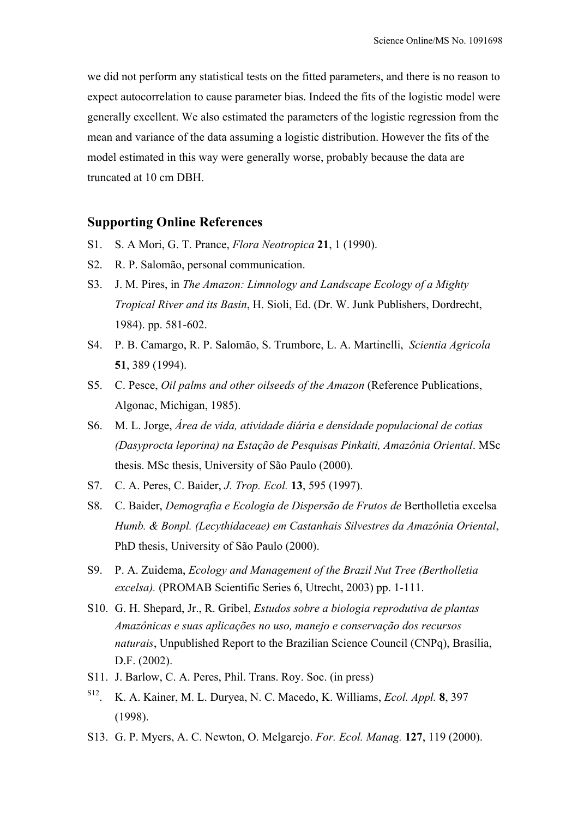we did not perform any statistical tests on the fitted parameters, and there is no reason to expect autocorrelation to cause parameter bias. Indeed the fits of the logistic model were generally excellent. We also estimated the parameters of the logistic regression from the mean and variance of the data assuming a logistic distribution. However the fits of the model estimated in this way were generally worse, probably because the data are truncated at 10 cm DBH.

# **Supporting Online References**

- S1.S. A Mori, G. T. Prance, *Flora Neotropica* **21**, 1 (1990).
- S2. R. P. Salomão, personal communication.
- S3. J. M. Pires, in *The Amazon: Limnology and Landscape Ecology of a Mighty Tropical River and its Basin*, H. Sioli, Ed. (Dr. W. Junk Publishers, Dordrecht, 1984). pp. 581-602.
- S4. P. B. Camargo, R. P. Salomão, S. Trumbore, L. A. Martinelli, *Scientia Agricola*  **51**, 389 (1994).
- S5. C. Pesce, *Oil palms and other oilseeds of the Amazon* (Reference Publications, Algonac, Michigan, 1985).
- S6. M. L. Jorge, *Área de vida, atividade diária e densidade populacional de cotias (Dasyprocta leporina) na Estação de Pesquisas Pinkaiti, Amazônia Oriental*. MSc thesis. MSc thesis, University of São Paulo (2000).
- S7. C. A. Peres, C. Baider, *J. Trop. Ecol.* **13**, 595 (1997).
- S8. C. Baider, *Demografia e Ecologia de Dispersão de Frutos de* Bertholletia excelsa *Humb. & Bonpl. (Lecythidaceae) em Castanhais Silvestres da Amazônia Oriental*, PhD thesis, University of São Paulo (2000).
- S9. P. A. Zuidema, *Ecology and Management of the Brazil Nut Tree (Bertholletia excelsa).* (PROMAB Scientific Series 6, Utrecht, 2003) pp. 1-111.
- S10. G. H. Shepard, Jr., R. Gribel, *Estudos sobre a biologia reprodutiva de plantas Amazônicas e suas aplicações no uso, manejo e conservação dos recursos naturais*, Unpublished Report to the Brazilian Science Council (CNPq), Brasília, D.F. (2002).
- S11. J. Barlow, C. A. Peres, Phil. Trans. Roy. Soc. (in press)
- S12. K. A. Kainer, M. L. Duryea, N. C. Macedo, K. Williams, *Ecol. Appl.* **8**, 397 (1998).
- S13. G. P. Myers, A. C. Newton, O. Melgarejo. *For. Ecol. Manag.* **127**, 119 (2000).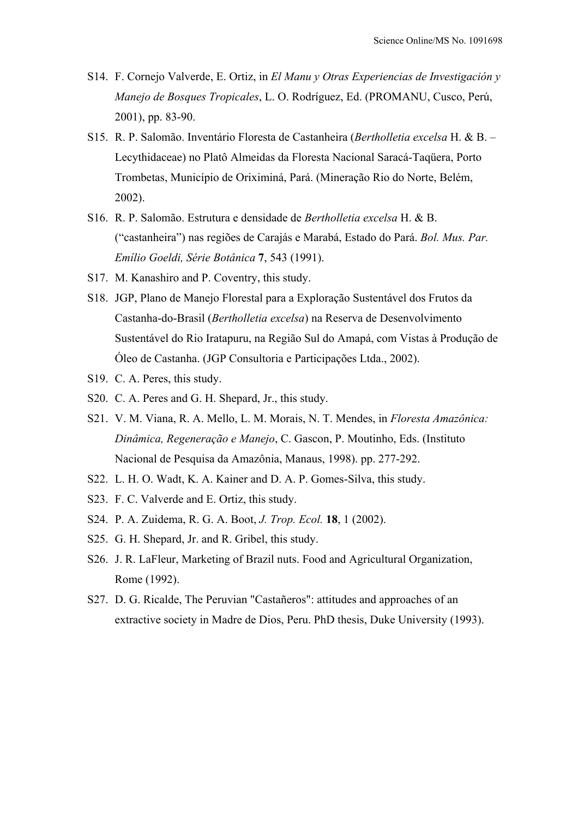- S14. F. Cornejo Valverde, E. Ortiz, in *El Manu y Otras Experiencias de Investigación y Manejo de Bosques Tropicales*, L. O. Rodríguez, Ed. (PROMANU, Cusco, Perú, 2001), pp. 83-90.
- S15. R. P. Salomão. Inventário Floresta de Castanheira (*Bertholletia excelsa* H. & B. Lecythidaceae) no Platô Almeidas da Floresta Nacional Saracá-Taqüera, Porto Trombetas, Município de Oriximiná, Pará. (Mineração Rio do Norte, Belém, 2002).
- S16. R. P. Salomão. Estrutura e densidade de *Bertholletia excelsa* H. & B. ("castanheira") nas regiões de Carajás e Marabá, Estado do Pará. *Bol. Mus. Par. Emílio Goeldi, Série Botânica* **7**, 543 (1991).
- S17. M. Kanashiro and P. Coventry, this study.
- S18. JGP, Plano de Manejo Florestal para a Exploração Sustentável dos Frutos da Castanha-do-Brasil (*Bertholletia excelsa*) na Reserva de Desenvolvimento Sustentável do Rio Iratapuru, na Região Sul do Amapá, com Vistas à Produção de Óleo de Castanha. (JGP Consultoria e Participações Ltda., 2002).
- S19. C. A. Peres, this study.
- S20. C. A. Peres and G. H. Shepard, Jr., this study.
- S21. V. M. Viana, R. A. Mello, L. M. Morais, N. T. Mendes, in *Floresta Amazônica: Dinâmica, Regeneração e Manejo*, C. Gascon, P. Moutinho, Eds. (Instituto Nacional de Pesquisa da Amazônia, Manaus, 1998). pp. 277-292.
- S22. L. H. O. Wadt, K. A. Kainer and D. A. P. Gomes-Silva, this study.
- S23. F. C. Valverde and E. Ortiz, this study.
- S24. P. A. Zuidema, R. G. A. Boot, *J. Trop. Ecol.* **18**, 1 (2002).
- S25. G. H. Shepard, Jr. and R. Gribel, this study.
- S26. J. R. LaFleur, Marketing of Brazil nuts. Food and Agricultural Organization, Rome (1992).
- S27. D. G. Ricalde, The Peruvian "Castañeros": attitudes and approaches of an extractive society in Madre de Dios, Peru. PhD thesis, Duke University (1993).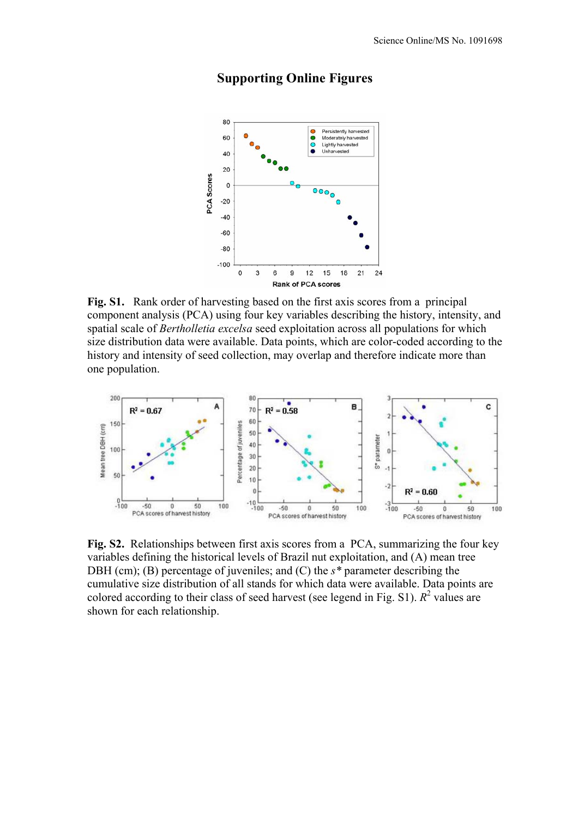

# **Supporting Online Figures**

**Fig. S1.** Rank order of harvesting based on the first axis scores from a principal component analysis (PCA) using four key variables describing the history, intensity, and spatial scale of *Bertholletia excelsa* seed exploitation across all populations for which size distribution data were available. Data points, which are color-coded according to the history and intensity of seed collection, may overlap and therefore indicate more than one population.



**Fig. S2.** Relationships between first axis scores from a PCA, summarizing the four key variables defining the historical levels of Brazil nut exploitation, and (A) mean tree DBH (cm); (B) percentage of juveniles; and (C) the *s\** parameter describing the cumulative size distribution of all stands for which data were available. Data points are colored according to their class of seed harvest (see legend in Fig. S1).  $R^2$  values are shown for each relationship.